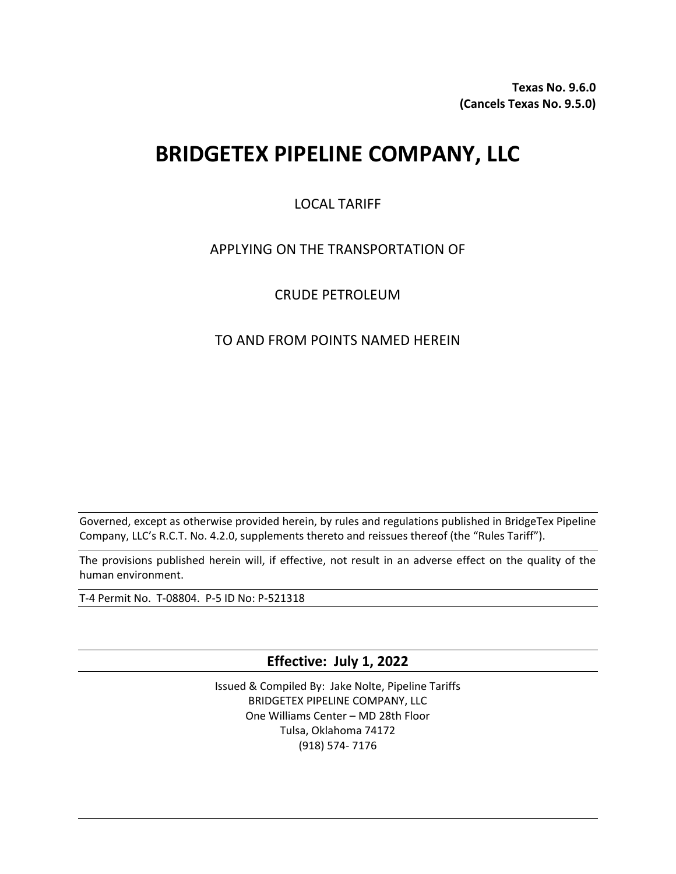**Texas No. 9.6.0 (Cancels Texas No. 9.5.0)**

# **BRIDGETEX PIPELINE COMPANY, LLC**

## LOCAL TARIFF

## APPLYING ON THE TRANSPORTATION OF

## CRUDE PETROLEUM

## TO AND FROM POINTS NAMED HEREIN

Governed, except as otherwise provided herein, by rules and regulations published in BridgeTex Pipeline Company, LLC's R.C.T. No. 4.2.0, supplements thereto and reissues thereof (the "Rules Tariff").

The provisions published herein will, if effective, not result in an adverse effect on the quality of the human environment.

T-4 Permit No. T-08804. P-5 ID No: P-521318

**Effective: July 1, 2022**

Issued & Compiled By: Jake Nolte, Pipeline Tariffs BRIDGETEX PIPELINE COMPANY, LLC One Williams Center – MD 28th Floor Tulsa, Oklahoma 74172 (918) 574- 7176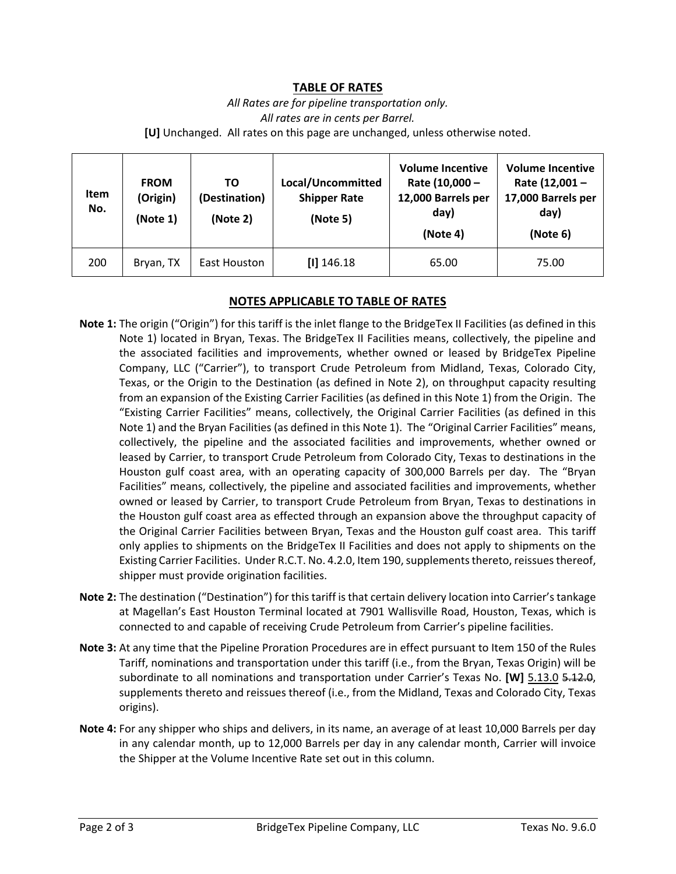#### **TABLE OF RATES**

*All Rates are for pipeline transportation only. All rates are in cents per Barrel.*  **[U]** Unchanged. All rates on this page are unchanged, unless otherwise noted.

| <b>Item</b><br>No. | <b>FROM</b><br>(Origin)<br>(Note 1) | ΤO<br>(Destination)<br>(Note 2) | Local/Uncommitted<br><b>Shipper Rate</b><br>(Note 5) | <b>Volume Incentive</b><br>Rate (10,000 -<br>12,000 Barrels per<br>day)<br>(Note 4) | <b>Volume Incentive</b><br>Rate (12,001 -<br>17,000 Barrels per<br>day)<br>(Note 6) |
|--------------------|-------------------------------------|---------------------------------|------------------------------------------------------|-------------------------------------------------------------------------------------|-------------------------------------------------------------------------------------|
| 200                | Bryan, TX                           | East Houston                    | $[1]$ 146.18                                         | 65.00                                                                               | 75.00                                                                               |

#### **NOTES APPLICABLE TO TABLE OF RATES**

- **Note 1:** The origin ("Origin") for this tariff is the inlet flange to the BridgeTex II Facilities (as defined in this Note 1) located in Bryan, Texas. The BridgeTex II Facilities means, collectively, the pipeline and the associated facilities and improvements, whether owned or leased by BridgeTex Pipeline Company, LLC ("Carrier"), to transport Crude Petroleum from Midland, Texas, Colorado City, Texas, or the Origin to the Destination (as defined in Note 2), on throughput capacity resulting from an expansion of the Existing Carrier Facilities (as defined in this Note 1) from the Origin. The "Existing Carrier Facilities" means, collectively, the Original Carrier Facilities (as defined in this Note 1) and the Bryan Facilities (as defined in this Note 1). The "Original Carrier Facilities" means, collectively, the pipeline and the associated facilities and improvements, whether owned or leased by Carrier, to transport Crude Petroleum from Colorado City, Texas to destinations in the Houston gulf coast area, with an operating capacity of 300,000 Barrels per day. The "Bryan Facilities" means, collectively, the pipeline and associated facilities and improvements, whether owned or leased by Carrier, to transport Crude Petroleum from Bryan, Texas to destinations in the Houston gulf coast area as effected through an expansion above the throughput capacity of the Original Carrier Facilities between Bryan, Texas and the Houston gulf coast area. This tariff only applies to shipments on the BridgeTex II Facilities and does not apply to shipments on the Existing Carrier Facilities. Under R.C.T. No. 4.2.0, Item 190, supplements thereto, reissues thereof, shipper must provide origination facilities.
- **Note 2:** The destination ("Destination") for this tariff is that certain delivery location into Carrier's tankage at Magellan's East Houston Terminal located at 7901 Wallisville Road, Houston, Texas, which is connected to and capable of receiving Crude Petroleum from Carrier's pipeline facilities.
- **Note 3:** At any time that the Pipeline Proration Procedures are in effect pursuant to Item 150 of the Rules Tariff, nominations and transportation under this tariff (i.e., from the Bryan, Texas Origin) will be subordinate to all nominations and transportation under Carrier's Texas No. **[W]** 5.13.0 5.12.0, supplements thereto and reissues thereof (i.e., from the Midland, Texas and Colorado City, Texas origins).
- **Note 4:** For any shipper who ships and delivers, in its name, an average of at least 10,000 Barrels per day in any calendar month, up to 12,000 Barrels per day in any calendar month, Carrier will invoice the Shipper at the Volume Incentive Rate set out in this column.